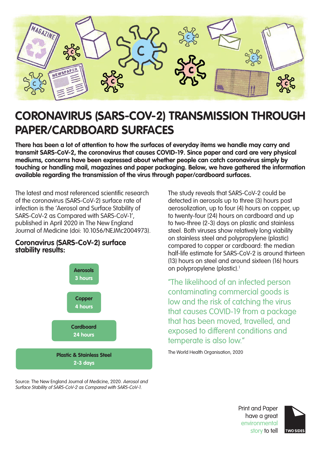

# **CORONAVIRUS (SARS-COV-2) TRANSMISSION THROUGH PAPER/CARDBOARD SURFACES**

**There has been a lot of attention to how the surfaces of everyday items we handle may carry and transmit SARS-CoV-2, the coronavirus that causes COVID-19. Since paper and card are very physical mediums, concerns have been expressed about whether people can catch coronavirus simply by touching or handling mail, magazines and paper packaging. Below, we have gathered the information available regarding the transmission of the virus through paper/cardboard surfaces.**

The latest and most referenced scientific research of the coronavirus (SARS-CoV-2) surface rate of infection is the 'Aerosol and Surface Stability of SARS-CoV-2 as Compared with SARS-CoV-1', published in April 2020 in The New England Journal of Medicine (doi: 10.1056/NEJMc2004973).



**Coronavirus (SARS-CoV-2) surface** 

**stability results:**

Source: The New England Journal of Medicine, 2020. Aerosol and Surface Stability of SARS-CoV-2 as Compared with SARS-CoV-1.

The study reveals that SARS-CoV-2 could be detected in aerosols up to three (3) hours post aerosolization, up to four (4) hours on copper, up to twenty-four (24) hours on cardboard and up to two-three (2-3) days on plastic and stainless steel. Both viruses show relatively long viability on stainless steel and polypropylene (plastic) compared to copper or cardboard: the median half-life estimate for SARS-CoV-2 is around thirteen (13) hours on steel and around sixteen (16) hours on polypropylene (plastic).<sup>1</sup>

"The likelihood of an infected person contaminating commercial goods is low and the risk of catching the virus that causes COVID-19 from a package that has been moved, travelled, and exposed to different conditions and temperate is also low."

The World Health Organisation, 2020

Print and Paper have a great environmental story to tell